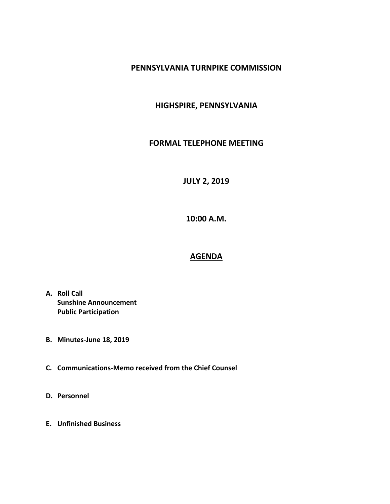## **PENNSYLVANIA TURNPIKE COMMISSION**

## **HIGHSPIRE, PENNSYLVANIA**

## **FORMAL TELEPHONE MEETING**

**JULY 2, 2019**

**10:00 A.M.**

## **AGENDA**

- **A. Roll Call Sunshine Announcement Public Participation**
- **B. Minutes-June 18, 2019**
- **C. Communications-Memo received from the Chief Counsel**
- **D. Personnel**
- **E. Unfinished Business**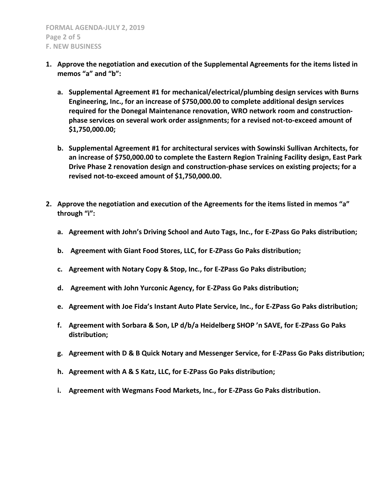- **1. Approve the negotiation and execution of the Supplemental Agreements for the items listed in memos "a" and "b":**
	- **a. Supplemental Agreement #1 for mechanical/electrical/plumbing design services with Burns Engineering, Inc., for an increase of \$750,000.00 to complete additional design services required for the Donegal Maintenance renovation, WRO network room and constructionphase services on several work order assignments; for a revised not-to-exceed amount of \$1,750,000.00;**
	- **b. Supplemental Agreement #1 for architectural services with Sowinski Sullivan Architects, for an increase of \$750,000.00 to complete the Eastern Region Training Facility design, East Park Drive Phase 2 renovation design and construction-phase services on existing projects; for a revised not-to-exceed amount of \$1,750,000.00.**
- **2. Approve the negotiation and execution of the Agreements for the items listed in memos "a" through "i":**
	- **a. Agreement with John's Driving School and Auto Tags, Inc., for E-ZPass Go Paks distribution;**
	- **b. Agreement with Giant Food Stores, LLC, for E-ZPass Go Paks distribution;**
	- **c. Agreement with Notary Copy & Stop, Inc., for E-ZPass Go Paks distribution;**
	- **d. Agreement with John Yurconic Agency, for E-ZPass Go Paks distribution;**
	- **e. Agreement with Joe Fida's Instant Auto Plate Service, Inc., for E-ZPass Go Paks distribution;**
	- **f. Agreement with Sorbara & Son, LP d/b/a Heidelberg SHOP 'n SAVE, for E-ZPass Go Paks distribution;**
	- **g. Agreement with D & B Quick Notary and Messenger Service, for E-ZPass Go Paks distribution;**
	- **h. Agreement with A & S Katz, LLC, for E-ZPass Go Paks distribution;**
	- **i. Agreement with Wegmans Food Markets, Inc., for E-ZPass Go Paks distribution.**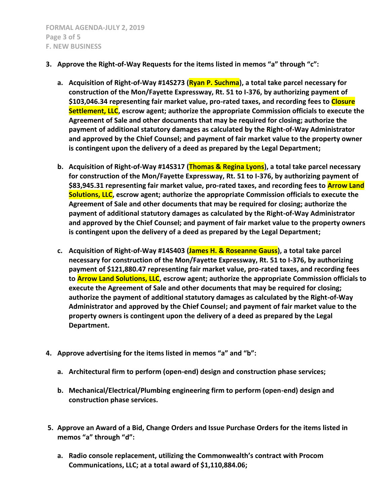- **3. Approve the Right-of-Way Requests for the items listed in memos "a" through "c":**
	- **a. Acquisition of Right-of-Way #14S273 (Ryan P. Suchma), a total take parcel necessary for construction of the Mon/Fayette Expressway, Rt. 51 to I-376, by authorizing payment of \$103,046.34 representing fair market value, pro-rated taxes, and recording fees to Closure Settlement, LLC, escrow agent; authorize the appropriate Commission officials to execute the Agreement of Sale and other documents that may be required for closing; authorize the payment of additional statutory damages as calculated by the Right-of-Way Administrator and approved by the Chief Counsel; and payment of fair market value to the property owner is contingent upon the delivery of a deed as prepared by the Legal Department;**
	- **b. Acquisition of Right-of-Way #14S317 (Thomas & Regina Lyons), a total take parcel necessary for construction of the Mon/Fayette Expressway, Rt. 51 to I-376, by authorizing payment of**  \$83,945.31 representing fair market value, pro-rated taxes, and recording fees to **Arrow Land Solutions, LLC, escrow agent; authorize the appropriate Commission officials to execute the Agreement of Sale and other documents that may be required for closing; authorize the payment of additional statutory damages as calculated by the Right-of-Way Administrator and approved by the Chief Counsel; and payment of fair market value to the property owners is contingent upon the delivery of a deed as prepared by the Legal Department;**
	- **c. Acquisition of Right-of-Way #14S403 (James H. & Roseanne Gauss), a total take parcel necessary for construction of the Mon/Fayette Expressway, Rt. 51 to I-376, by authorizing payment of \$121,880.47 representing fair market value, pro-rated taxes, and recording fees to Arrow Land Solutions, LLC, escrow agent; authorize the appropriate Commission officials to execute the Agreement of Sale and other documents that may be required for closing; authorize the payment of additional statutory damages as calculated by the Right-of-Way Administrator and approved by the Chief Counsel; and payment of fair market value to the property owners is contingent upon the delivery of a deed as prepared by the Legal Department.**
- **4. Approve advertising for the items listed in memos "a" and "b":**
	- **a. Architectural firm to perform (open-end) design and construction phase services;**
	- **b. Mechanical/Electrical/Plumbing engineering firm to perform (open-end) design and construction phase services.**
- **5. Approve an Award of a Bid, Change Orders and Issue Purchase Orders for the items listed in memos "a" through "d":**
	- **a. Radio console replacement, utilizing the Commonwealth's contract with Procom Communications, LLC; at a total award of \$1,110,884.06;**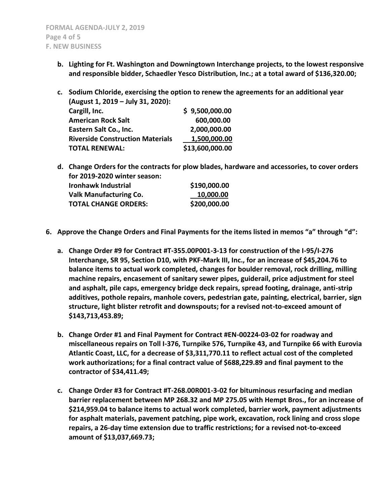- **b. Lighting for Ft. Washington and Downingtown Interchange projects, to the lowest responsive and responsible bidder, Schaedler Yesco Distribution, Inc.; at a total award of \$136,320.00;**
- **c. Sodium Chloride, exercising the option to renew the agreements for an additional year (August 1, 2019 – July 31, 2020): Cargill, Inc. \$ 9,500,000.00 American Rock Salt 600,000.00 Eastern Salt Co., Inc. 2,000,000.00 Riverside Construction Materials 1,500,000.00**

**TOTAL RENEWAL: \$13,600,000.00**

**TOTAL CHANGE ORDERS: \$200,000.00**

- **d. Change Orders for the contracts for plow blades, hardware and accessories, to cover orders for 2019-2020 winter season: Ironhawk Industrial \$190,000.00 Valk Manufacturing Co. 10,000.00**
- **6. Approve the Change Orders and Final Payments for the items listed in memos "a" through "d":**
	- **a. Change Order #9 for Contract #T-355.00P001-3-13 for construction of the I-95/I-276 Interchange, SR 95, Section D10, with PKF-Mark III, Inc., for an increase of \$45,204.76 to balance items to actual work completed, changes for boulder removal, rock drilling, milling machine repairs, encasement of sanitary sewer pipes, guiderail, price adjustment for steel and asphalt, pile caps, emergency bridge deck repairs, spread footing, drainage, anti-strip additives, pothole repairs, manhole covers, pedestrian gate, painting, electrical, barrier, sign structure, light blister retrofit and downspouts; for a revised not-to-exceed amount of \$143,713,453.89;**
	- **b. Change Order #1 and Final Payment for Contract #EN-00224-03-02 for roadway and miscellaneous repairs on Toll I-376, Turnpike 576, Turnpike 43, and Turnpike 66 with Eurovia Atlantic Coast, LLC, for a decrease of \$3,311,770.11 to reflect actual cost of the completed work authorizations; for a final contract value of \$688,229.89 and final payment to the contractor of \$34,411.49;**
	- **c. Change Order #3 for Contract #T-268.00R001-3-02 for bituminous resurfacing and median barrier replacement between MP 268.32 and MP 275.05 with Hempt Bros., for an increase of \$214,959.04 to balance items to actual work completed, barrier work, payment adjustments for asphalt materials, pavement patching, pipe work, excavation, rock lining and cross slope repairs, a 26-day time extension due to traffic restrictions; for a revised not-to-exceed amount of \$13,037,669.73;**